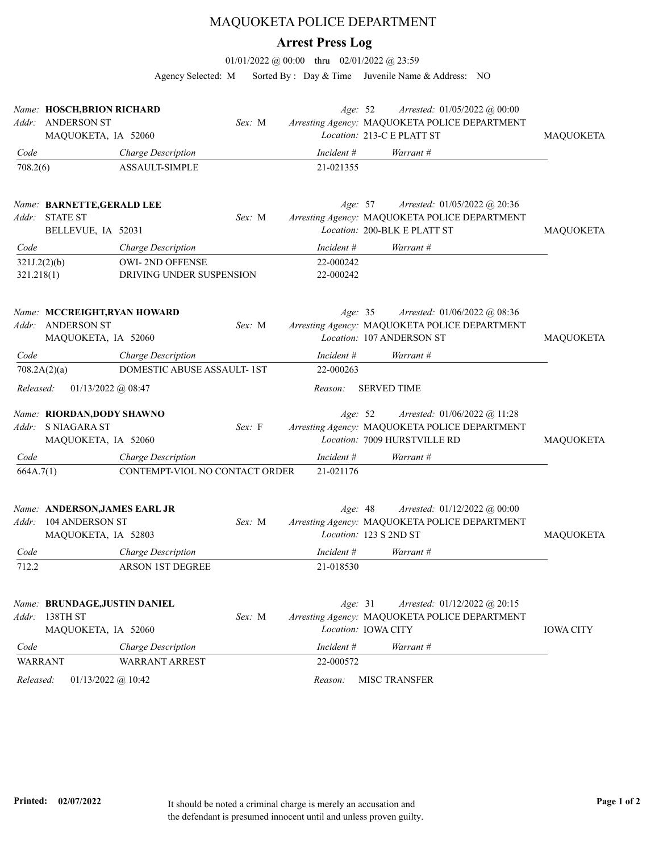## MAQUOKETA POLICE DEPARTMENT

## **Arrest Press Log**

01/01/2022 @ 00:00 thru 02/01/2022 @ 23:59

Agency Selected: M Sorted By : Day & Time Juvenile Name & Address: NO

|                            | Name: HOSCH, BRION RICHARD<br>Addr: ANDERSON ST<br>MAQUOKETA, IA 52060    |                                             | Sex: M | Age: 52                | Arrested: 01/05/2022 @ 00:00<br>Arresting Agency: MAQUOKETA POLICE DEPARTMENT<br>Location: 213-C E PLATT ST   | MAQUOKETA        |
|----------------------------|---------------------------------------------------------------------------|---------------------------------------------|--------|------------------------|---------------------------------------------------------------------------------------------------------------|------------------|
| Code                       |                                                                           | Charge Description                          |        | $Incident \#$          | Warrant #                                                                                                     |                  |
| 708.2(6)                   |                                                                           | ASSAULT-SIMPLE                              |        | 21-021355              |                                                                                                               |                  |
| Addr:                      | Name: BARNETTE, GERALD LEE<br><b>STATE ST</b><br>BELLEVUE, IA 52031       |                                             | Sex: M | Age: 57                | Arrested: 01/05/2022 @ 20:36<br>Arresting Agency: MAQUOKETA POLICE DEPARTMENT<br>Location: 200-BLK E PLATT ST | <b>MAQUOKETA</b> |
| Code                       |                                                                           | Charge Description                          |        | $Incident \#$          | Warrant #                                                                                                     |                  |
| 321J.2(2)(b)<br>321.218(1) |                                                                           | OWI-2ND OFFENSE<br>DRIVING UNDER SUSPENSION |        | 22-000242<br>22-000242 |                                                                                                               |                  |
| Addr:                      | Name: MCCREIGHT, RYAN HOWARD<br><b>ANDERSON ST</b><br>MAQUOKETA, IA 52060 |                                             | Sex: M | Age: 35                | Arrested: 01/06/2022 @ 08:36<br>Arresting Agency: MAQUOKETA POLICE DEPARTMENT<br>Location: 107 ANDERSON ST    | <b>MAQUOKETA</b> |
| Code                       |                                                                           | Charge Description                          |        | Incident #             | Warrant #                                                                                                     |                  |
|                            | 708.2A(2)(a)                                                              | DOMESTIC ABUSE ASSAULT- 1ST                 |        | 22-000263              |                                                                                                               |                  |
| Released:                  | $01/13/2022$ @ 08:47                                                      |                                             |        | Reason:                | <b>SERVED TIME</b>                                                                                            |                  |
|                            | Name: RIORDAN, DODY SHAWNO<br>Addr: SNIAGARA ST<br>MAQUOKETA, IA 52060    |                                             | Sex: F | Age: 52                | Arrested: 01/06/2022 @ 11:28<br>Arresting Agency: MAQUOKETA POLICE DEPARTMENT<br>Location: 7009 HURSTVILLE RD | <b>MAQUOKETA</b> |
| Code                       |                                                                           | Charge Description                          |        | Incident #             | Warrant #                                                                                                     |                  |
| 664A.7(1)                  |                                                                           | CONTEMPT-VIOL NO CONTACT ORDER              |        | 21-021176              |                                                                                                               |                  |
| Addr:                      | Name: ANDERSON, JAMES EARL JR<br>104 ANDERSON ST<br>MAQUOKETA, IA 52803   |                                             | Sex: M | Age: 48                | Arrested: 01/12/2022 @ 00:00<br>Arresting Agency: MAQUOKETA POLICE DEPARTMENT<br>Location: 123 S 2ND ST       | <b>MAQUOKETA</b> |
| Code                       |                                                                           | Charge Description                          |        | Incident #             | Warrant #                                                                                                     |                  |
| 712.2                      |                                                                           | <b>ARSON 1ST DEGREE</b>                     |        | 21-018530              |                                                                                                               |                  |
| Addr:                      | Name: BRUNDAGE, JUSTIN DANIEL<br>138TH ST<br>MAQUOKETA, IA 52060          |                                             | Sex: M | Age: 31                | Arrested: 01/12/2022 @ 20:15<br>Arresting Agency: MAQUOKETA POLICE DEPARTMENT<br>Location: IOWA CITY          | <b>IOWA CITY</b> |
| Code                       |                                                                           | Charge Description                          |        | Incident #             | Warrant #                                                                                                     |                  |
| <b>WARRANT</b>             |                                                                           | <b>WARRANT ARREST</b>                       |        | 22-000572              |                                                                                                               |                  |
| Released:                  | $01/13/2022$ @ 10:42                                                      |                                             |        | Reason:                | <b>MISC TRANSFER</b>                                                                                          |                  |